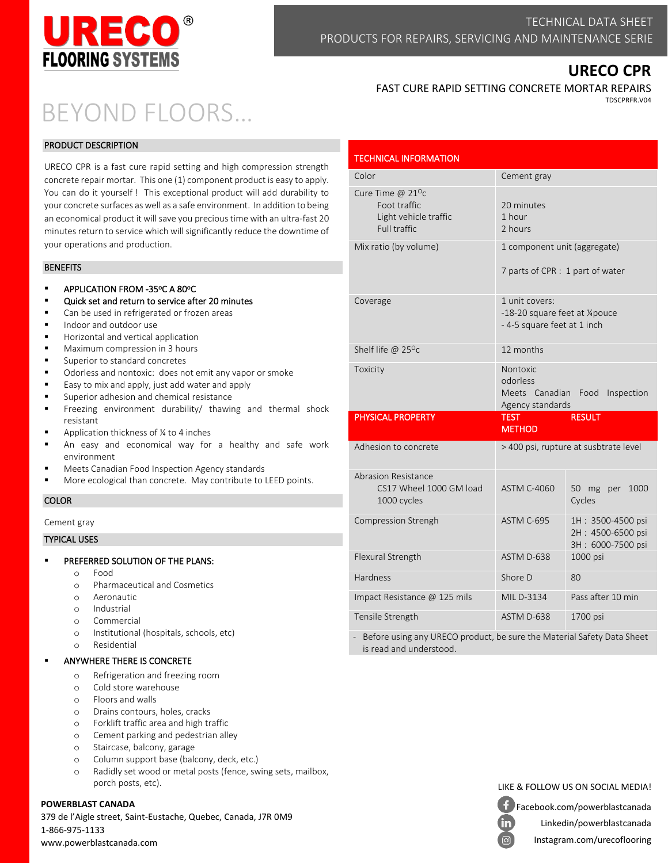

# **URECO CPR**

# BEYOND FLOORS…

# PRODUCT DESCRIPTION

URECO CPR is a fast cure rapid setting and high compression strength concrete repair mortar. This one (1) component product is easy to apply. You can do it yourself ! This exceptional product will add durability to your concrete surfaces as well as a safe environment. In addition to being an economical product it will save you precious time with an ultra-fast 20 minutes return to service which will significantly reduce the downtime of your operations and production.

# BENEFITS

- APPLICATION FROM -35°C A 80°C
- Quick set and return to service after 20 minutes
- Can be used in refrigerated or frozen areas
- Indoor and outdoor use
- Horizontal and vertical application
- Maximum compression in 3 hours
- Superior to standard concretes
- Odorless and nontoxic: does not emit any vapor or smoke
- Easy to mix and apply, just add water and apply
- Superior adhesion and chemical resistance
- Freezing environment durability/ thawing and thermal shock resistant
- Application thickness of  $\frac{1}{4}$  to 4 inches
- An easy and economical way for a healthy and safe work environment
- Meets Canadian Food Inspection Agency standards
- More ecological than concrete. May contribute to LEED points.

# COLOR

Cement gray

#### TYPICAL USES

- PREFERRED SOLUTION OF THE PLANS:
	- o Food
	- o Pharmaceutical and Cosmetics
	- o Aeronautic
	- o Industrial
	- o Commercial
	- o Institutional (hospitals, schools, etc)
	- o Residential

# ANYWHERE THERE IS CONCRETE

- o Refrigeration and freezing room
- o Cold store warehouse
- o Floors and walls
- o Drains contours, holes, cracks
- o Forklift traffic area and high traffic
- o Cement parking and pedestrian alley
- o Staircase, balcony, garage
- o Column support base (balcony, deck, etc.)
- o Radidly set wood or metal posts (fence, swing sets, mailbox, porch posts, etc).

# **POWERBLAST CANADA**

379 de l'Aigle street, Saint-Eustache, Quebec, Canada, J7R 0M9 1-866-975-1133 www.powerblastcanada.com

| FAST CURE RAPID SETTING CONCRETE MORTAR REPAIRS |
|-------------------------------------------------|
| TDSCPRFR.V04                                    |

| <b>TECHNICAL INFORMATION</b>                                                           |                                                                                  |                                                             |  |
|----------------------------------------------------------------------------------------|----------------------------------------------------------------------------------|-------------------------------------------------------------|--|
| Color                                                                                  | Cement gray                                                                      |                                                             |  |
| Cure Time @ 21 <sup>o</sup> c<br>Foot traffic<br>Light vehicle traffic<br>Full traffic | 20 minutes<br>1 hour<br>2 hours                                                  |                                                             |  |
| Mix ratio (by volume)                                                                  | 1 component unit (aggregate)<br>7 parts of CPR : 1 part of water                 |                                                             |  |
| Coverage                                                                               | 1 unit covers:<br>-18-20 square feet at 1/4 pouce<br>- 4-5 square feet at 1 inch |                                                             |  |
| Shelf life @ $25^{\circ}c$                                                             | 12 months                                                                        |                                                             |  |
| Toxicity                                                                               | Nontoxic<br>odorless<br>Meets Canadian Food<br>Inspection<br>Agency standards    |                                                             |  |
| <b>PHYSICAL PROPERTY</b>                                                               | <b>TEST</b><br><b>METHOD</b>                                                     | <b>RESULT</b>                                               |  |
| Adhesion to concrete                                                                   | > 400 psi, rupture at susbtrate level                                            |                                                             |  |
| Abrasion Resistance<br>CS17 Wheel 1000 GM load<br>1000 cycles                          | <b>ASTM C-4060</b>                                                               | 50 mg per 1000<br>Cycles                                    |  |
| Compression Strengh                                                                    | ASTM C-695                                                                       | 1H: 3500-4500 psi<br>2H: 4500-6500 psi<br>3H: 6000-7500 psi |  |
| Flexural Strength                                                                      | ASTM D-638                                                                       | 1000 psi                                                    |  |
| Hardness                                                                               | Shore D                                                                          | 80                                                          |  |
| Impact Resistance @ 125 mils                                                           | MIL D-3134                                                                       | Pass after 10 min                                           |  |
|                                                                                        |                                                                                  |                                                             |  |

Before using any URECO product, be sure the Material Safety Data Sheet is read and understood.